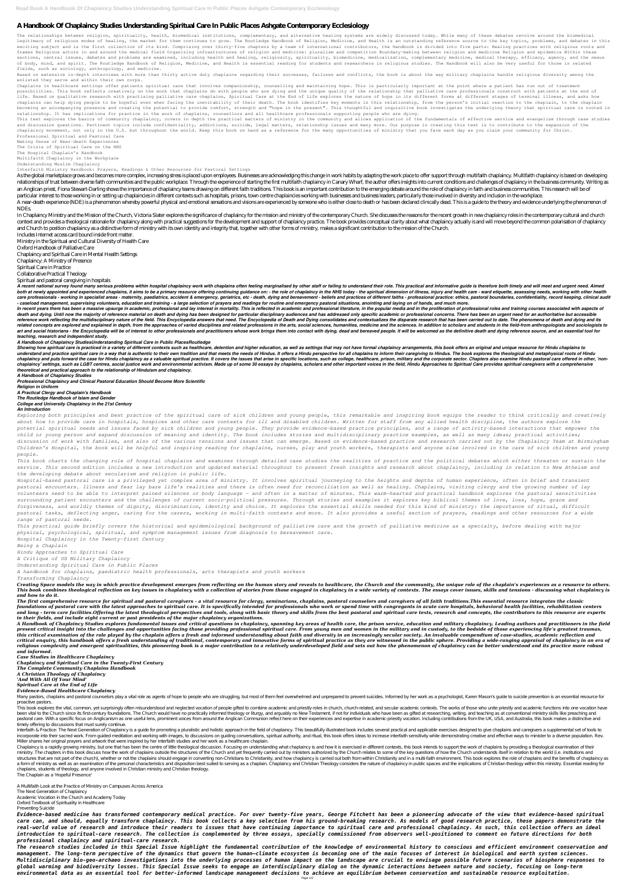# **A Handbook Of Chaplaincy Studies Understanding Spiritual Care In Public Places Ashgate Contemporary Ecclesiology**

The relationships between religion, spirituality, health, biomedical institutions, complementary, and alternative healing systems are widely discussed today. While many of these debates revolve around the biomedical legitimacy of religious modes of healing, the market for them continues to grow. The Routledge Handbook of Religion, Medicine, and Health is an outstanding reference source to the key topics, problems, and debates in this exciting subject and is the first collection of its kind. Comprising over thirty-five chapters by a team of international contributors, the Handbook is divided into five parts: Healing practices with religious roots and frames Religious actors in and around the medical field Organizing infrastructures of religion and medicine: pluralism and competition Boundary-making between religion and medicine Religion and epidemics Within these sections, central issues, debates and problems are examined, including health and healing, religiosity, spirituality, biomedicine, medicalization, complementary medicine, medical therapy, efficacy, agency, and the nexus of body, mind, and spirit. The Routledge Handbook of Religion, Medicine, and Health is essential reading for students and researchers in religious studies. The Handbook will also be very useful for those in related fields, such as sociology, anthropology, and medicine.

Based on extensive in-depth interviews with more than thirty active duty chaplains regarding their successes, failures and conflicts, the book is about the way military chaplains handle religious diversity among the enlisted they serve and within their own corps.

This text explores the basics of community chaplaincy, covers in depth the practical matters of ministry in the community and allows application of the fundamentals of effective service and evangelism through case studies and discussion questions. Pertinent topics include confidentiality, addictions, suicide, legal matters, relationship issues and many more. Our purpose in creating this text is to contribute to the expansion of the chaplaincy movement, not only in the U.S. but throughout the world. Keep this book on hand as a reference for the many opportunities of ministry that you face each day as you claim your community for Christ. Professional Spiritual and Pastoral Care

Chaplains in healthcare settings offer patients spiritual care that involves companionship, counselling and maintaining hope. This is particularly important at the point where a patient has run out of treatment possibilities. This book reflects creatively on the work that chaplains do with people who are dying and the unique quality of the relationship that palliative care professionals construct with patients at the end of life. Based on qualitative research with practising palliative care chaplains, Spiritual Care at the End of Life explores the nature of hope in its different forms at different stages of terminal illness, and asks how chaplains can help dying people to be hopeful even when facing the inevitability of their death. The book identifies key moments in this relationship, from the person's initial reaction to the chaplain, to the chaplain becoming an accompanying presence and creating the potential to provide comfort, strength and "hope in the present". This thoughtful and inquisitive book investigates the underlying theory that spiritual care is rooted in relationship. It has implications for practice in the work of chaplains, counsellors and all healthcare professionals supporting people who are dying.

As the global marketplace grows and becomes more complex, increasing stress is placed upon employees. Businesses are acknowledging this change in work habits by adapting the work place to offer support through multifaith c relationships of trust between diverse faith communities and the public workplace. Through the experience of starting the first multifaith chaplaincy in Canary Wharf, the author offers insights into current conditions and an Anglican priest, Fiona Stewart-Darling shows the importance of chaplaincy teams drawing on different faith traditions. This book is an important contribution to the emerging debate around the role of chaplaincy in faith particular interest to those working in or setting up chaplaincies in different contexts such as hospitals, prisons, town centre chaplaincies working with businesses and business leaders, particularly those involved in div A near-death experience (NDE) is a phenomenon whereby powerful physical and emotional sensations and visions are experienced by someone who is either close to death or has been declared dinically dead. This is a guide to t NDEs.

In Chaplaincy Ministry and the Mission of the Church, Victoria Slater explores the significance of chaplaincy for the mission and ministry of the contemporary Church. She discusses the reasons for the recent growth in new context and provides a theological rationale for chaplaincy along with practical suggestions for the development and support of chaplaincy practice. The book provides conceptual clarity about what chaplaincy actually is an and Church to position chaplaincy as a distinctive form of ministry with its own identity and integrity that, together with other forms of ministry, makes a significant contribution to the mission of the Church.

A recent national survey found many serious problems within hospital chaplaincy work with chaplains often feeling marginalised by other staff or failing to understand their role. This practical and informative guide is the both at newly appointed and experienced chaplains, it aims to be a primary resource offering continuing guidance on: - the role of chaplaincy in the NHS today - the spiritual dimension of illness, injury and health care care professionals - working in specialist areas - maternity, paediatrics, accident & emergency, geriatrics, etc - death, dying and bereavement - beliefs and practices of different faiths - professional practice: ethics, p *- caseload management, supervising volunteers, education and training - a large selection of prayers and readings for routine and emergency pastoral situations, anointing and laying on of hands, and much more.*

In recent years there has been a massive upsurge in academic, professional and lay interest in mortality. This is reflected in academic and professional literature, in the popular media and in the proliferation of professi death and dying. Until now the majority of reference material on death and dying has been designed for particular disciplinary audiences and has addressed only specific academic or professional concerns. There has been an reference work reflecting the multidisciplinary nature of the field. This Encyclopedia answers that need. The Encyclopedia of Death and Dying consolidates and contextualizes the disparate research that has been carried out related concepts are explored and explained in depth, from the approaches of varied disciplines and related professions in the arts, social sciences, humanities, medicine and the sciences. In addition to scholars and stude art and social historians - the Encyclopedia will be of interest to other professionals and practitioners whose work brings them into contact with dying, dead and bereaved people. It will be welcomed as the definitive deat

Making Sense of Near-death Experiences The Crisis of Spiritual Care on the NHS The Hospital Chaplain's Handbook

Multifaith Chaplaincy in the Workplace

Understanding Muslim Chaplaincy

Interfaith Ministry Handbook: Prayers, Readings & Other Resources for Pastoral Settings

Showing how spiritual care is practiced in a variety of different contexts such as healthcare, detention and higher education, as well as settings that may not have formal chaplaincy arrangements, this book offers an origi understand and practice spiritual care in a way that is authentic to their own tradition and that meets the needs of Hindus. It offers a Hindu perspective for all chaplains to inform their caregiving to Hindus. The book ex chaplaincy and puts forward the case for Hindu chaplaincy as a valuable spiritual practice. It covers the issues that arise in specific locations, such as college, healthcare, prison, military and the corporate sector. Cha chaplaincy' settings, such as LGBT centres, social justice work and environmental activism. Made up of some 30 essays by chaplains, scholars and other important voices in the field, Hindu Approaches to Spiritual Care provi *theoretical and practical approach to the relationship of Hinduism and chaplaincy.*

Includes Internet access card bound inside front matter.

Ministry in the Spiritual and Cultural Diversity of Health Care

Oxford Handbook of Palliative Care

Chaplaincy and Spiritual Care in Mental Health Settings

Chaplaincy: A Ministry of Presence

Spiritual Care in Practice

Collaborative Practical Theology

### Spiritual and pastoral caregiving in hospitals

Creating Space models the way in which practice development emerges from reflecting on the human story and reveals to healthcare, the Church and the community, the unique role of the chaplain's experiences as a resource to This book combines theological reflection on key issues in chaplaincy with a collection of stories from those engaged in chaplaincy in a wide variety of contexts. The essays cover issues, skills and tensions - discussing w *and how to do it.*

The first comprehensive resource for spiritual and pastoral caregivers - a vital resource for clergy, seminarians, chaplains, pastoral counselors and caregivers of all faith traditions. This essential resource integrates t foundations of pastoral care with the latest approaches to spiritual care. It is specifically intended for professionals who work or spend time with congregants in acute care hospitals, behavioral health facilities, rehabi and lona - term care facilities.Offerina the latest theological perspectives and tools, along with basic theory and skills from the best pastoral and spiritual care texts, research and concepts, the contributors to this re *in their fields, and include eight current or past presidents of the major chaplaincy organizations.*

A Handbook of Chaplaincy Studies explores fundamental issues and critical questions in chaplaincy, spanning key areas of health care, the prison service, education and military chaplaincy. Leading authors and practitioners present critical insight into the challenges and opportunities facing those providing professional spiritual care. From young men and women in the military and in custody, to the bedside of those experiencing life's greate this critical examination of the role played by the chaplain offers a fresh and informed understanding about faith and diversity in an increasingly secular society. An invaluable compendium of case-studies, academic reflec critical enquiry, this handbook offers a fresh understanding of traditional, contemporary and innovative forms of spiritual practice as they are witnessed in the public sphere. Providing a wide-ranging appraisal of chaplai religious complexity and emergent spiritualities, this pioneering book is a major contribution to a relatively underdeveloped field and sets out how the phenomenon of chaplaincy can be better understood and its practice mo *and informed.*

Many pastors, chaplains and pastoral counselors play a vital role as agents of hope to people who are struggling, but most of them feel overwhelmed and unprepared to prevent suicides. Informed by her work as a psychologist proactive pastors.

This book explores the vital, common, vet surprisingly often misunderstood and neglected vocation of people gifted to combine academic and priestly roles in church, church-related, and secular academic contexts. The works been vital to the Church since its first-century foundations. The Church would have no practically informed theology or liturgy, and arguably no New Testament, if not for individuals who have been as gifted at researching, pastoral care. With a specific focus on Anglicanism as one useful lens, prominent voices from around the Anglican Communion reflect here on their experiences and expertise in academic-priestly vocation. Including contribut timely offering to discussions that must surely continue.

#### *teaching, research and independent study.*

#### *A Handbook of Chaplaincy StudiesUnderstanding Spiritual Care in Public PlacesRoutledge*

Interfaith & Practice: The Next Generation of Chaplaincy is a guide for promoting a pluralistic and holistic and holistic approach in the field of chaplaincy. This beautifully illustrated book includes several practical an incorporate into their sacred work. From guided meditation and working with images, to discussions on guiding conversations, spiritual authority, and ritual, this book offers ideas to increase interfaith sensitivity while Miller shares her original prayers and artwork that were inspired by her interfaith studies and her work as a healthcare chaplain.

Chaplaincy is a rapidly growing ministry, but one that has been the centre of little theological discussion. Focusing on understanding what chaplaincy is and how it is exercised in different contexts, this book intends to ministy. The chapters in this book discuss how the work of chaplains outside the structures of the Church and yet frequently carried out by ministers authorized by the Church relates to some of the key questions of how the structures that are not part of the church), whe ther or not the chaplains should engage in converting non-Christians to Christianity, and how chaplaincy is carried out both from within Christianity and in a multi-faith en a form of ministry as well as an examination of the personal characteristics and disposition best suited to serving as a chaplaincy and Christian Theology considers the nature of chaplaincy in public spaces and the implica chaplains, students of theology, and anyone involved in Christian ministry and Christian theology. The Chaplain as a 'Hopeful Presence'

*A Handbook of Chaplaincy Studies Professional Chaplaincy and Clinical Pastoral Education Should Become More Scientific Religion in Uniform A Practical Clergy and Chaplain's Handbook The Routledge Handbook of Islam and Gender College and University Chaplaincy in the 21st Century*

#### *An Introduction*

*Exploring both principles and best practice of the spiritual care of sick children and young people, this remarkable and inspiring book equips the reader to think critically and creatively about how to provide care in hospitals, hospices and other care contexts for ill and disabled children. Written for staff from any allied health discipline, the authors explore the potential spiritual needs and issues faced by sick children and young people. They provide evidence-based practice principles, and a range of activity-based interactions that empower the child or young person and expand discussion of meaning and identity. The book includes stories and multidisciplinary practice examples, as well as many ideas; practical activities; discussion of work with families, and also of the various tensions and issues that can emerge. Based on evidence-based practice and research carried out by the Chaplaincy Team at Birmingham Children's Hospital, the book will be helpful and inspiring reading for chaplains, nurses, play and youth workers, therapists and anyone else involved in the care of sick children and young people.*

*This book charts the changing role of hospital chaplains and examines through detailed case studies the realities of practice and the political debates which either threaten or sustain the service. This second edition includes a new introduction and updated material throughout to present fresh insights and research about chaplaincy, including in relation to New Atheism and the developing debate about secularism and religion in public life.*

*Hospital-based pastoral care is a privileged yet complex area of ministry. It involves spiritual journeying to the heights and depths of human experience, often in brief and transient pastoral encounters. Illness and fear lay bare life's realities and there is often need for reconciliation as well as healing. Chaplains, visiting clergy and the growing number of lay volunteers need to be able to interpret pained silences or body language – and often in a matter of minutes. This warm-hearted and practical handbook explores the pastoral sensitivities surrounding patient encounters and the challenges of current socio-political pressures. Through stories and examples it explores key biblical themes of love, loss, hope, grace and forgiveness, and worldly themes of dignity, discrimination, identity and choice. It explores the essential skills needed for this kind of ministry: the importance of ritual, difficult pastoral tasks, deflecting anger, caring for the carers, working in multi-faith contexts and more. It also provides a useful section of prayers, readings and other resources for a wide range of pastoral needs.*

*This practical guide briefly covers the historical and epidemiological background of palliative care and the growth of palliative medicine as a specialty, before dealing with major physical, psychological, spiritual, and symptom management issues from diagnosis to bereavement care.*

*Hospital Chaplaincy in the Twenty-first Century*

*Being a Chaplain*

*Hindu Approaches to Spiritual Care*

*A Critique of US Military Chaplaincy*

*Understanding Spiritual Care in Public Places*

*A handbook for chaplains, paediatric health professionals, arts therapists and youth workers Transforming Chaplaincy*

*Case Studies in Healthcare Chaplaincy Chaplaincy and Spiritual Care in the Twenty-First Century The Complete Community Chaplains Handbook*

### *A Christian Theology of Chaplaincy 'And With All Of Your Mind' Spiritual Care at the End of Life Evidence-Based Healthcare Chaplaincy*

A Multifaith Look at the Practice of Ministry on Campuses Across America

The Next Generation of Chaplaincy Academic Vocation in the Church and Academy Today Oxford Textbook of Spirituality in Healthcare

Preventing Suicide

*Evidence-based medicine has transformed contemporary medical practice. For over twenty-five years, George Fitchett has been a pioneering advocate of the view that evidence-based spiritual care can, and should, equally transform chaplaincy. This book collects a key selection from his ground-breaking research. As models of good research practice, these papers demonstrate the real-world value of research and introduce their readers to issues that have continuing importance to spiritual care and professional chaplaincy. As such, this collection offers an ideal introduction to spiritual-care research. The collection is complemented by three essays, specially commissioned from observers well-positioned to comment on future directions for both professional chaplaincy and spiritual-care research.*

*The research studies included in this Special Issue highlight the fundamental contribution of the knowledge of environmental history to conscious and efficient environment conservation and management. The long-term perspective of the dynamics that govern the human–climate ecosystem is becoming one of the main focuses of interest in biological and earth system sciences. Multidisciplinary bio-geo-archaeo investigations into the underlying processes of human impact on the landscape are crucial to envisage possible future scenarios of biosphere responses to global warming and biodiversity losses. This Special Issue seeks to engage an interdisciplinary dialog on the dynamic interactions between nature and society, focusing on long-term environmental data as an essential tool for better-informed landscape management decisions to achieve an equilibrium between conservation and sustainable resource exploitation.*